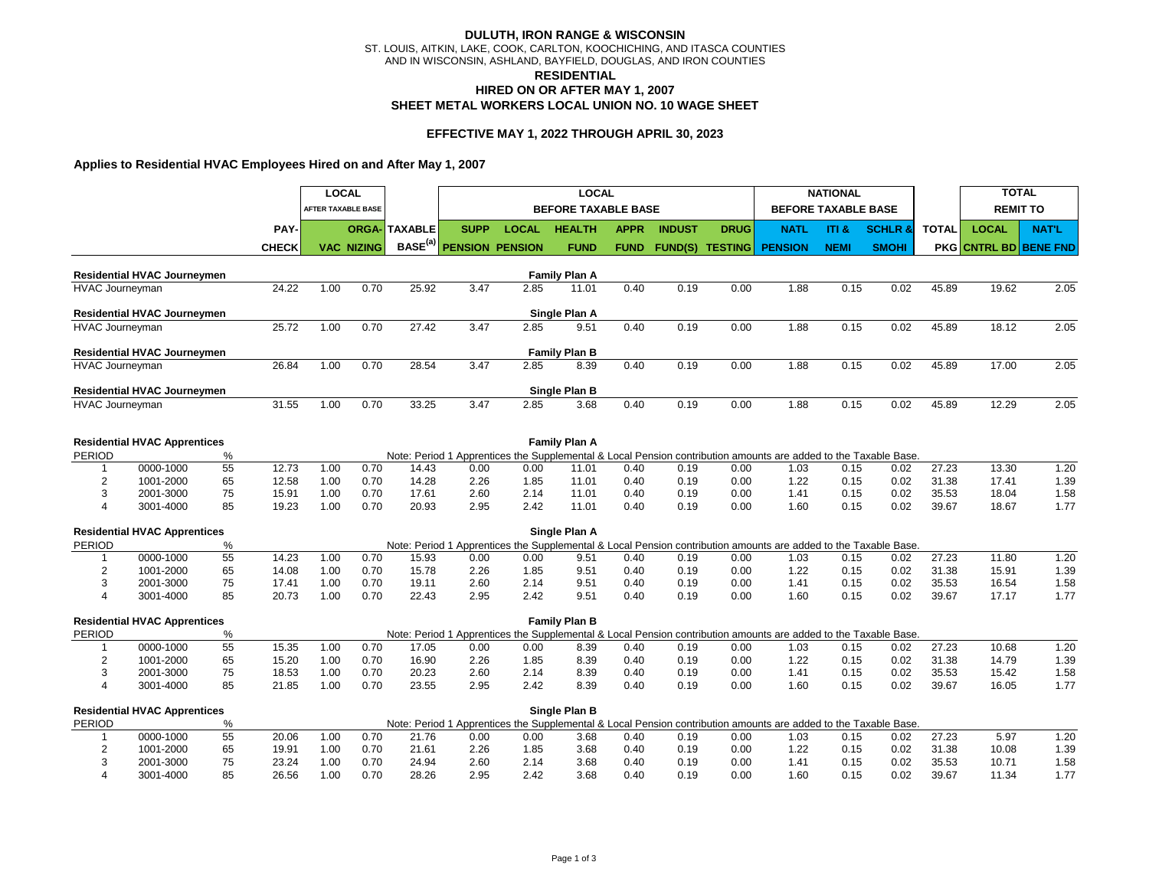# **HIRED ON OR AFTER MAY 1, 2007 DULUTH, IRON RANGE & WISCONSIN** ST. LOUIS, AITKIN, LAKE, COOK, CARLTON, KOOCHICHING, AND ITASCA COUNTIES AND IN WISCONSIN, ASHLAND, BAYFIELD, DOUGLAS, AND IRON COUNTIES **SHEET METAL WORKERS LOCAL UNION NO. 10 WAGE SHEET RESIDENTIAL**

# **EFFECTIVE MAY 1, 2022 THROUGH APRIL 30, 2023**

# **Applies to Residential HVAC Employees Hired on and After May 1, 2007**

|                        |                                     |       |              | <b>LOCAL</b> |                           |                      |                        |              | <b>LOCAL</b>               |             |               |                        | <b>NATIONAL</b>                                                                                                 |                            |                    | <b>TOTAL</b> |                          |                 |
|------------------------|-------------------------------------|-------|--------------|--------------|---------------------------|----------------------|------------------------|--------------|----------------------------|-------------|---------------|------------------------|-----------------------------------------------------------------------------------------------------------------|----------------------------|--------------------|--------------|--------------------------|-----------------|
|                        |                                     |       |              |              | <b>AFTER TAXABLE BASE</b> |                      |                        |              | <b>BEFORE TAXABLE BASE</b> |             |               |                        |                                                                                                                 | <b>BEFORE TAXABLE BASE</b> |                    |              |                          | <b>REMIT TO</b> |
|                        |                                     |       | PAY-         |              |                           | <b>ORGA- TAXABLE</b> | <b>SUPP</b>            | <b>LOCAL</b> | <b>HEALTH</b>              | <b>APPR</b> | <b>INDUST</b> | <b>DRUG</b>            | <b>NATL</b>                                                                                                     | ITI &                      | <b>SCHLR &amp;</b> | <b>TOTAL</b> | <b>LOCAL</b>             | <b>NAT'L</b>    |
|                        |                                     |       | <b>CHECK</b> |              | <b>VAC NIZING</b>         | BASE <sup>(a)</sup>  | <b>PENSION PENSION</b> |              | <b>FUND</b>                | <b>FUND</b> |               | <b>FUND(S) TESTING</b> | <b>PENSION</b>                                                                                                  | <b>NEMI</b>                | <b>SMOHI</b>       | <b>PKG</b>   | <b>CNTRL BD BENE FND</b> |                 |
|                        | <b>Residential HVAC Journeymen</b>  |       |              |              |                           |                      |                        |              | <b>Family Plan A</b>       |             |               |                        |                                                                                                                 |                            |                    |              |                          |                 |
| <b>HVAC Journeyman</b> |                                     |       | 24.22        | 1.00         | 0.70                      | 25.92                | 3.47                   | 2.85         | 11.01                      | 0.40        | 0.19          | 0.00                   | 1.88                                                                                                            | 0.15                       | 0.02               | 45.89        | 19.62                    | 2.05            |
|                        | <b>Residential HVAC Journeymen</b>  |       |              |              |                           |                      |                        |              | Single Plan A              |             |               |                        |                                                                                                                 |                            |                    |              |                          |                 |
| HVAC Journeyman        |                                     |       | 25.72        | 1.00         | 0.70                      | 27.42                | 3.47                   | 2.85         | 9.51                       | 0.40        | 0.19          | 0.00                   | 1.88                                                                                                            | 0.15                       | 0.02               | 45.89        | 18.12                    | 2.05            |
|                        | <b>Residential HVAC Journeymen</b>  |       |              |              |                           |                      |                        |              | <b>Family Plan B</b>       |             |               |                        |                                                                                                                 |                            |                    |              |                          |                 |
| <b>HVAC Journeyman</b> |                                     |       | 26.84        | 1.00         | 0.70                      | 28.54                | 3.47                   | 2.85         | 8.39                       | 0.40        | 0.19          | 0.00                   | 1.88                                                                                                            | 0.15                       | 0.02               | 45.89        | 17.00                    | 2.05            |
|                        | <b>Residential HVAC Journeymen</b>  |       |              |              |                           |                      |                        |              | Single Plan B              |             |               |                        |                                                                                                                 |                            |                    |              |                          |                 |
| <b>HVAC Journeyman</b> |                                     | 31.55 | 1.00         | 0.70         | 33.25                     | 3.47                 | 2.85                   | 3.68         | 0.40                       | 0.19        | 0.00          | 1.88                   | 0.15                                                                                                            | 0.02                       | 45.89              | 12.29        | 2.05                     |                 |
|                        |                                     |       |              |              |                           |                      |                        |              |                            |             |               |                        |                                                                                                                 |                            |                    |              |                          |                 |
| PERIOD                 | <b>Residential HVAC Apprentices</b> | %     |              |              |                           |                      |                        |              | <b>Family Plan A</b>       |             |               |                        | Note: Period 1 Apprentices the Supplemental & Local Pension contribution amounts are added to the Taxable Base. |                            |                    |              |                          |                 |
| 1                      | 0000-1000                           | 55    | 12.73        | 1.00         | 0.70                      | 14.43                | 0.00                   | 0.00         | 11.01                      | 0.40        | 0.19          | 0.00                   | 1.03                                                                                                            | 0.15                       | 0.02               | 27.23        | 13.30                    | 1.20            |
| $\overline{c}$         | 1001-2000                           | 65    | 12.58        | 1.00         | 0.70                      | 14.28                | 2.26                   | 1.85         | 11.01                      | 0.40        | 0.19          | 0.00                   | 1.22                                                                                                            | 0.15                       | 0.02               | 31.38        | 17.41                    | 1.39            |
| 3                      | 2001-3000                           | 75    | 15.91        | 1.00         | 0.70                      | 17.61                | 2.60                   | 2.14         | 11.01                      | 0.40        | 0.19          | 0.00                   | 1.41                                                                                                            | 0.15                       | 0.02               | 35.53        | 18.04                    | 1.58            |
| $\overline{4}$         | 3001-4000                           | 85    | 19.23        | 1.00         | 0.70                      | 20.93                | 2.95                   | 2.42         | 11.01                      | 0.40        | 0.19          | 0.00                   | 1.60                                                                                                            | 0.15                       | 0.02               | 39.67        | 18.67                    | 1.77            |
|                        | <b>Residential HVAC Apprentices</b> |       |              |              |                           |                      |                        |              | Single Plan A              |             |               |                        |                                                                                                                 |                            |                    |              |                          |                 |
| <b>PERIOD</b>          |                                     | %     |              |              |                           |                      |                        |              |                            |             |               |                        | Note: Period 1 Apprentices the Supplemental & Local Pension contribution amounts are added to the Taxable Base. |                            |                    |              |                          |                 |
| 1                      | 0000-1000                           | 55    | 14.23        | 1.00         | 0.70                      | 15.93                | 0.00                   | 0.00         | 9.51                       | 0.40        | 0.19          | 0.00                   | 1.03                                                                                                            | 0.15                       | 0.02               | 27.23        | 11.80                    | 1.20            |
| $\overline{2}$         | 1001-2000                           | 65    | 14.08        | 1.00         | 0.70                      | 15.78                | 2.26                   | 1.85         | 9.51                       | 0.40        | 0.19          | 0.00                   | 1.22                                                                                                            | 0.15                       | 0.02               | 31.38        | 15.91                    | 1.39            |
| 3                      | 2001-3000                           | 75    | 17.41        | 1.00         | 0.70                      | 19.11                | 2.60                   | 2.14         | 9.51                       | 0.40        | 0.19          | 0.00                   | 1.41                                                                                                            | 0.15                       | 0.02               | 35.53        | 16.54                    | 1.58            |
| $\overline{4}$         | 3001-4000                           | 85    | 20.73        | 1.00         | 0.70                      | 22.43                | 2.95                   | 2.42         | 9.51                       | 0.40        | 0.19          | 0.00                   | 1.60                                                                                                            | 0.15                       | 0.02               | 39.67        | 17.17                    | 1.77            |
|                        | <b>Residential HVAC Apprentices</b> |       |              |              |                           |                      |                        |              | <b>Family Plan B</b>       |             |               |                        |                                                                                                                 |                            |                    |              |                          |                 |
| <b>PERIOD</b>          |                                     | %     |              |              |                           |                      |                        |              |                            |             |               |                        | Note: Period 1 Apprentices the Supplemental & Local Pension contribution amounts are added to the Taxable Base. |                            |                    |              |                          |                 |
| 1                      | 0000-1000                           | 55    | 15.35        | 1.00         | 0.70                      | 17.05                | 0.00                   | 0.00         | 8.39                       | 0.40        | 0.19          | 0.00                   | 1.03                                                                                                            | 0.15                       | 0.02               | 27.23        | 10.68                    | 1.20            |
| $\overline{c}$         | 1001-2000                           | 65    | 15.20        | 1.00         | 0.70                      | 16.90                | 2.26                   | 1.85         | 8.39                       | 0.40        | 0.19          | 0.00                   | 1.22                                                                                                            | 0.15                       | 0.02               | 31.38        | 14.79                    | 1.39            |
| 3                      | 2001-3000                           | 75    | 18.53        | 1.00         | 0.70                      | 20.23                | 2.60                   | 2.14         | 8.39                       | 0.40        | 0.19          | 0.00                   | 1.41                                                                                                            | 0.15                       | 0.02               | 35.53        | 15.42                    | 1.58            |
| $\overline{4}$         | 3001-4000                           | 85    | 21.85        | 1.00         | 0.70                      | 23.55                | 2.95                   | 2.42         | 8.39                       | 0.40        | 0.19          | 0.00                   | 1.60                                                                                                            | 0.15                       | 0.02               | 39.67        | 16.05                    | 1.77            |
|                        | <b>Residential HVAC Apprentices</b> |       |              |              |                           |                      |                        |              | Single Plan B              |             |               |                        |                                                                                                                 |                            |                    |              |                          |                 |
| <b>PERIOD</b>          |                                     | %     |              |              |                           |                      |                        |              |                            |             |               |                        | Note: Period 1 Apprentices the Supplemental & Local Pension contribution amounts are added to the Taxable Base. |                            |                    |              |                          |                 |
|                        | 0000-1000                           | 55    | 20.06        | 1.00         | 0.70                      | 21.76                | 0.00                   | 0.00         | 3.68                       | 0.40        | 0.19          | 0.00                   | 1.03                                                                                                            | 0.15                       | 0.02               | 27.23        | 5.97                     | 1.20            |
| $\overline{2}$         | 1001-2000                           | 65    | 19.91        | 1.00         | 0.70                      | 21.61                | 2.26                   | 1.85         | 3.68                       | 0.40        | 0.19          | 0.00                   | 1.22                                                                                                            | 0.15                       | 0.02               | 31.38        | 10.08                    | 1.39            |

3 2001-3000 75 23.24 1.00 0.70 24.94 2.60 2.14 3.68 0.40 0.19 0.00 1.41 0.15 0.02 35.53 10.71 1.58 4 3001-4000 85 26.56 1.00 0.70 28.26 2.95 2.42 3.68 0.40 0.19 0.00 1.60 0.15 0.02 39.67 11.34 1.77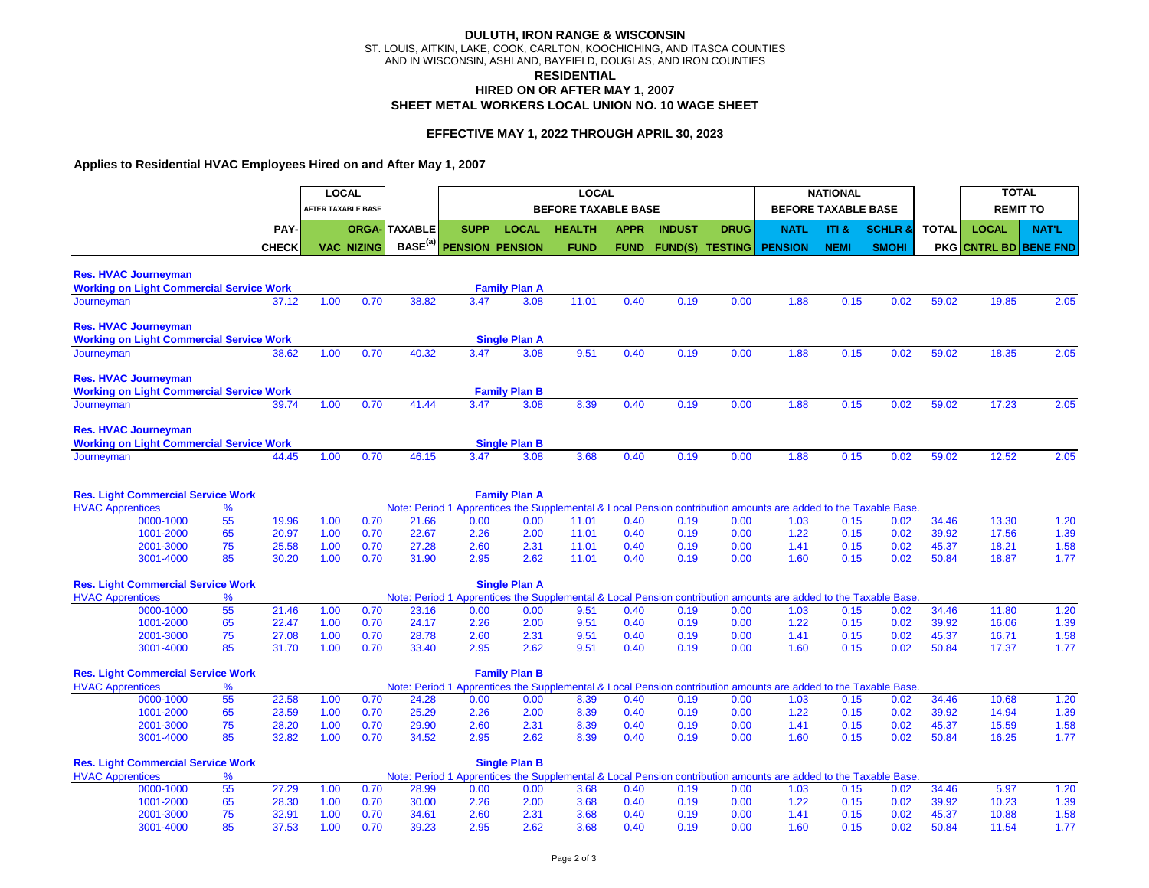# **HIRED ON OR AFTER MAY 1, 2007 DULUTH, IRON RANGE & WISCONSIN** ST. LOUIS, AITKIN, LAKE, COOK, CARLTON, KOOCHICHING, AND ITASCA COUNTIES AND IN WISCONSIN, ASHLAND, BAYFIELD, DOUGLAS, AND IRON COUNTIES **SHEET METAL WORKERS LOCAL UNION NO. 10 WAGE SHEET RESIDENTIAL**

# **EFFECTIVE MAY 1, 2022 THROUGH APRIL 30, 2023**

# **Applies to Residential HVAC Employees Hired on and After May 1, 2007**

|                                                 |           |          |              |      | <b>LOCAL</b>       |                      |                        |                      | <b>LOCAL</b>               |              |               |                        |                                                                                                                 | <b>NATIONAL</b>            |                |              | <b>TOTAL</b>                 |                 |
|-------------------------------------------------|-----------|----------|--------------|------|--------------------|----------------------|------------------------|----------------------|----------------------------|--------------|---------------|------------------------|-----------------------------------------------------------------------------------------------------------------|----------------------------|----------------|--------------|------------------------------|-----------------|
|                                                 |           |          |              |      | AFTER TAXABLE BASE |                      |                        |                      | <b>BEFORE TAXABLE BASE</b> |              |               |                        |                                                                                                                 | <b>BEFORE TAXABLE BASE</b> |                |              |                              | <b>REMIT TO</b> |
|                                                 |           |          | PAY-         |      |                    | <b>ORGA- TAXABLE</b> | <b>SUPP</b>            | <b>LOCAL</b>         | <b>HEALTH</b>              | <b>APPR</b>  | <b>INDUST</b> | <b>DRUG</b>            | <b>NATL</b>                                                                                                     | ITI &                      | <b>SCHLR 8</b> | <b>TOTAL</b> | <b>LOCAL</b>                 | <b>NAT'L</b>    |
|                                                 |           |          | <b>CHECK</b> |      | <b>VAC NIZING</b>  | BASE <sup>(a)</sup>  | <b>PENSION PENSION</b> |                      | <b>FUND</b>                | <b>FUND</b>  |               | <b>FUND(S) TESTING</b> | <b>PENSION</b>                                                                                                  | <b>NEMI</b>                | <b>SMOHI</b>   |              | <b>PKG CNTRL BD BENE FND</b> |                 |
| <b>Res. HVAC Journeyman</b>                     |           |          |              |      |                    |                      |                        |                      |                            |              |               |                        |                                                                                                                 |                            |                |              |                              |                 |
| <b>Working on Light Commercial Service Work</b> |           |          |              |      |                    |                      |                        | <b>Family Plan A</b> |                            |              |               |                        |                                                                                                                 |                            |                |              |                              |                 |
| Journeyman                                      |           |          | 37.12        | 1.00 | 0.70               | 38.82                | 3.47                   | 3.08                 | 11.01                      | 0.40         | 0.19          | 0.00                   | 1.88                                                                                                            | 0.15                       | 0.02           | 59.02        | 19.85                        | 2.05            |
| <b>Res. HVAC Journeyman</b>                     |           |          |              |      |                    |                      |                        |                      |                            |              |               |                        |                                                                                                                 |                            |                |              |                              |                 |
| <b>Working on Light Commercial Service Work</b> |           |          |              |      |                    |                      |                        | <b>Single Plan A</b> |                            |              |               |                        |                                                                                                                 |                            |                |              |                              |                 |
| Journeyman                                      |           |          | 38.62        | 1.00 | 0.70               | 40.32                | 3.47                   | 3.08                 | 9.51                       | 0.40         | 0.19          | 0.00                   | 1.88                                                                                                            | 0.15                       | 0.02           | 59.02        | 18.35                        | 2.05            |
| <b>Res. HVAC Journeyman</b>                     |           |          |              |      |                    |                      |                        |                      |                            |              |               |                        |                                                                                                                 |                            |                |              |                              |                 |
| <b>Working on Light Commercial Service Work</b> |           |          |              |      |                    |                      |                        | <b>Family Plan B</b> |                            |              |               |                        |                                                                                                                 |                            |                |              |                              |                 |
| Journeyman                                      |           |          | 39.74        | 1.00 | 0.70               | 41.44                | 3.47                   | 3.08                 | 8.39                       | 0.40         | 0.19          | 0.00                   | 1.88                                                                                                            | 0.15                       | 0.02           | 59.02        | 17.23                        | 2.05            |
| <b>Res. HVAC Journeyman</b>                     |           |          |              |      |                    |                      |                        |                      |                            |              |               |                        |                                                                                                                 |                            |                |              |                              |                 |
| <b>Working on Light Commercial Service Work</b> |           |          |              |      |                    |                      |                        | <b>Single Plan B</b> |                            |              |               |                        |                                                                                                                 |                            |                |              |                              |                 |
| Journeyman                                      |           |          | 44.45        | 1.00 | 0.70               | 46.15                | 3.47                   | 3.08                 | 3.68                       | 0.40         | 0.19          | 0.00                   | 1.88                                                                                                            | 0.15                       | 0.02           | 59.02        | 12.52                        | 2.05            |
| <b>Res. Light Commercial Service Work</b>       |           |          |              |      |                    |                      |                        | <b>Family Plan A</b> |                            |              |               |                        |                                                                                                                 |                            |                |              |                              |                 |
| <b>HVAC Apprentices</b>                         |           | %        |              |      |                    |                      |                        |                      |                            |              |               |                        | Note: Period 1 Apprentices the Supplemental & Local Pension contribution amounts are added to the Taxable Base. |                            |                |              |                              |                 |
|                                                 | 0000-1000 | 55       | 19.96        | 1.00 | 0.70               | 21.66                | 0.00                   | 0.00                 | 11.01                      | 0.40         | 0.19          | 0.00                   | 1.03                                                                                                            | 0.15                       | 0.02           | 34.46        | 13.30                        | 1.20            |
|                                                 | 1001-2000 | 65       | 20.97        | 1.00 | 0.70               | 22.67                | 2.26                   | 2.00                 | 11.01                      | 0.40         | 0.19          | 0.00                   | 1.22                                                                                                            | 0.15                       | 0.02           | 39.92        | 17.56                        | 1.39            |
|                                                 | 2001-3000 | 75       | 25.58        | 1.00 | 0.70               | 27.28                | 2.60                   | 2.31                 | 11.01                      | 0.40         | 0.19          | 0.00                   | 1.41                                                                                                            | 0.15                       | 0.02           | 45.37        | 18.21                        | 1.58            |
|                                                 | 3001-4000 | 85       | 30.20        | 1.00 | 0.70               | 31.90                | 2.95                   | 2.62                 | 11.01                      | 0.40         | 0.19          | 0.00                   | 1.60                                                                                                            | 0.15                       | 0.02           | 50.84        | 18.87                        | 1.77            |
| <b>Res. Light Commercial Service Work</b>       |           |          |              |      |                    |                      |                        | <b>Single Plan A</b> |                            |              |               |                        |                                                                                                                 |                            |                |              |                              |                 |
| <b>HVAC Apprentices</b>                         |           | %        |              |      |                    |                      |                        |                      |                            |              |               |                        | Note: Period 1 Apprentices the Supplemental & Local Pension contribution amounts are added to the Taxable Base  |                            |                |              |                              |                 |
|                                                 | 0000-1000 | 55       | 21.46        | 1.00 | 0.70               | 23.16                | 0.00                   | 0.00                 | 9.51                       | 0.40         | 0.19          | 0.00                   | 1.03                                                                                                            | 0.15                       | 0.02           | 34.46        | 11.80                        | 1.20            |
|                                                 | 1001-2000 | 65       | 22.47        | 1.00 | 0.70               | 24.17                | 2.26                   | 2.00                 | 9.51                       | 0.40         | 0.19          | 0.00                   | 1.22                                                                                                            | 0.15                       | 0.02           | 39.92        | 16.06                        | 1.39            |
|                                                 | 2001-3000 | 75<br>85 | 27.08        | 1.00 | 0.70               | 28.78                | 2.60                   | 2.31<br>2.62         | 9.51                       | 0.40<br>0.40 | 0.19          | 0.00                   | 1.41<br>1.60                                                                                                    | 0.15                       | 0.02           | 45.37        | 16.71                        | 1.58            |
|                                                 | 3001-4000 |          | 31.70        | 1.00 | 0.70               | 33.40                | 2.95                   |                      | 9.51                       |              | 0.19          | 0.00                   |                                                                                                                 | 0.15                       | 0.02           | 50.84        | 17.37                        | 1.77            |
| <b>Res. Light Commercial Service Work</b>       |           |          |              |      |                    |                      |                        | <b>Family Plan B</b> |                            |              |               |                        |                                                                                                                 |                            |                |              |                              |                 |
| <b>HVAC Apprentices</b>                         |           | ℅        |              |      |                    |                      |                        |                      |                            |              |               |                        | Note: Period 1 Apprentices the Supplemental & Local Pension contribution amounts are added to the Taxable Base. |                            |                |              |                              |                 |
|                                                 | 0000-1000 | 55       | 22.58        | 1.00 | 0.70               | 24.28                | 0.00                   | 0.00                 | 8.39                       | 0.40         | 0.19          | 0.00                   | 1.03                                                                                                            | 0.15                       | 0.02           | 34.46        | 10.68                        | 1.20            |
|                                                 | 1001-2000 | 65       | 23.59        | 1.00 | 0.70               | 25.29                | 2.26                   | 2.00                 | 8.39                       | 0.40         | 0.19          | 0.00                   | 1.22                                                                                                            | 0.15                       | 0.02           | 39.92        | 14.94                        | 1.39            |
|                                                 | 2001-3000 | 75       | 28.20        | 1.00 | 0.70               | 29.90                | 2.60                   | 2.31                 | 8.39                       | 0.40         | 0.19          | 0.00                   | 1.41                                                                                                            | 0.15                       | 0.02           | 45.37        | 15.59                        | 1.58            |
|                                                 | 3001-4000 | 85       | 32.82        | 1.00 | 0.70               | 34.52                | 2.95                   | 2.62                 | 8.39                       | 0.40         | 0.19          | 0.00                   | 1.60                                                                                                            | 0.15                       | 0.02           | 50.84        | 16.25                        | 1.77            |
| <b>Res. Light Commercial Service Work</b>       |           |          |              |      |                    |                      |                        | <b>Single Plan B</b> |                            |              |               |                        |                                                                                                                 |                            |                |              |                              |                 |
| <b>HVAC Apprentices</b>                         |           | %        |              |      |                    |                      |                        |                      |                            |              |               |                        | Note: Period 1 Apprentices the Supplemental & Local Pension contribution amounts are added to the Taxable Base  |                            |                |              |                              |                 |
|                                                 | 0000-1000 | 55       | 27.29        | 1.00 | 0.70               | 28.99                | 0.00                   | 0.00                 | 3.68                       | 0.40         | 0.19          | 0.00                   | 1.03                                                                                                            | 0.15                       | 0.02           | 34.46        | 5.97                         | 1.20            |
|                                                 | 1001-2000 | 65       | 28.30        | 1.00 | 0.70               | 30.00                | 2.26                   | 2.00                 | 3.68                       | 0.40         | 0.19          | 0.00                   | 1.22                                                                                                            | 0.15                       | 0.02           | 39.92        | 10.23                        | 1.39            |
|                                                 | 2001-3000 | 75       | 32.91        | 1.00 | 0.70               | 34.61                | 2.60                   | 2.31                 | 3.68                       | 0.40         | 0.19          | 0.00                   | 1.41                                                                                                            | 0.15                       | 0.02           | 45.37        | 10.88                        | 1.58            |

3001-4000 85 37.53 1.00 0.70 39.23 2.95 2.62 3.68 0.40 0.19 0.00 1.60 0.15 0.02 50.84 11.54 1.77